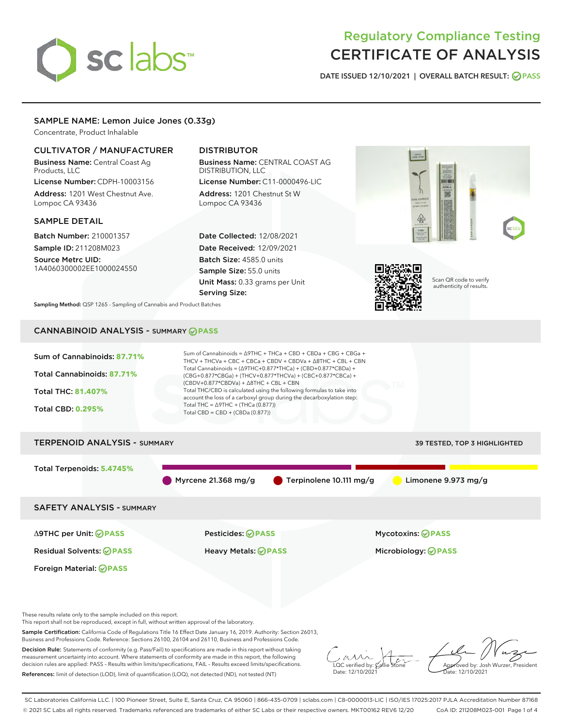# sclabs<sup>\*</sup>

# Regulatory Compliance Testing CERTIFICATE OF ANALYSIS

DATE ISSUED 12/10/2021 | OVERALL BATCH RESULT: @ PASS

# SAMPLE NAME: Lemon Juice Jones (0.33g)

Concentrate, Product Inhalable

# CULTIVATOR / MANUFACTURER

Business Name: Central Coast Ag Products, LLC License Number: CDPH-10003156

Address: 1201 West Chestnut Ave. Lompoc CA 93436

# SAMPLE DETAIL

Batch Number: 210001357 Sample ID: 211208M023

Source Metrc UID: 1A4060300002EE1000024550

# DISTRIBUTOR

Business Name: CENTRAL COAST AG DISTRIBUTION, LLC

License Number: C11-0000496-LIC Address: 1201 Chestnut St W Lompoc CA 93436

Date Collected: 12/08/2021 Date Received: 12/09/2021 Batch Size: 4585.0 units Sample Size: 55.0 units Unit Mass: 0.33 grams per Unit Serving Size:





Scan QR code to verify authenticity of results.

Sampling Method: QSP 1265 - Sampling of Cannabis and Product Batches

# CANNABINOID ANALYSIS - SUMMARY **PASS**

| Sum of Cannabinoids: 87.71%         | Sum of Cannabinoids = $\triangle$ 9THC + THCa + CBD + CBDa + CBG + CBGa +<br>THCV + THCVa + CBC + CBCa + CBDV + CBDVa + $\land$ 8THC + CBL + CBN                                       |                                     |  |
|-------------------------------------|----------------------------------------------------------------------------------------------------------------------------------------------------------------------------------------|-------------------------------------|--|
| Total Cannabinoids: 87.71%          | Total Cannabinoids = $(\Delta$ 9THC+0.877*THCa) + (CBD+0.877*CBDa) +<br>$(CBG+0.877*CBGa) + (THCV+0.877*THCVa) + (CBC+0.877*CBCa) +$<br>$(CBDV+0.877*CBDVa) + \Delta 8THC + CBL + CBN$ |                                     |  |
| <b>Total THC: 81.407%</b>           | Total THC/CBD is calculated using the following formulas to take into<br>account the loss of a carboxyl group during the decarboxylation step:                                         |                                     |  |
| <b>Total CBD: 0.295%</b>            | Total THC = $\triangle$ 9THC + (THCa (0.877))<br>Total CBD = $CBD + (CBDa (0.877))$                                                                                                    |                                     |  |
| <b>TERPENOID ANALYSIS - SUMMARY</b> |                                                                                                                                                                                        | <b>39 TESTED, TOP 3 HIGHLIGHTED</b> |  |

# Total Terpenoids: **5.4745%** Myrcene 21.368 mg/g  $\bullet$  Terpinolene 10.111 mg/g  $\bullet$  Limonene 9.973 mg/g SAFETY ANALYSIS - SUMMARY Δ9THC per Unit: **PASS** Pesticides: **PASS** Mycotoxins: **PASS**

Foreign Material: **PASS**

Residual Solvents: **PASS** Heavy Metals: **PASS** Microbiology: **PASS**

These results relate only to the sample included on this report.

This report shall not be reproduced, except in full, without written approval of the laboratory.

Sample Certification: California Code of Regulations Title 16 Effect Date January 16, 2019. Authority: Section 26013, Business and Professions Code. Reference: Sections 26100, 26104 and 26110, Business and Professions Code.

Decision Rule: Statements of conformity (e.g. Pass/Fail) to specifications are made in this report without taking measurement uncertainty into account. Where statements of conformity are made in this report, the following decision rules are applied: PASS – Results within limits/specifications, FAIL – Results exceed limits/specifications. References: limit of detection (LOD), limit of quantification (LOQ), not detected (ND), not tested (NT)

 $\overline{\text{C}}$  verified by:  $\mathcal C$ Date: 12/10/2021

Aved by: Josh Wurzer, President Date: 12/10/2021

SC Laboratories California LLC. | 100 Pioneer Street, Suite E, Santa Cruz, CA 95060 | 866-435-0709 | sclabs.com | C8-0000013-LIC | ISO/IES 17025:2017 PJLA Accreditation Number 87168 © 2021 SC Labs all rights reserved. Trademarks referenced are trademarks of either SC Labs or their respective owners. MKT00162 REV6 12/20 CoA ID: 211208M023-001 Page 1 of 4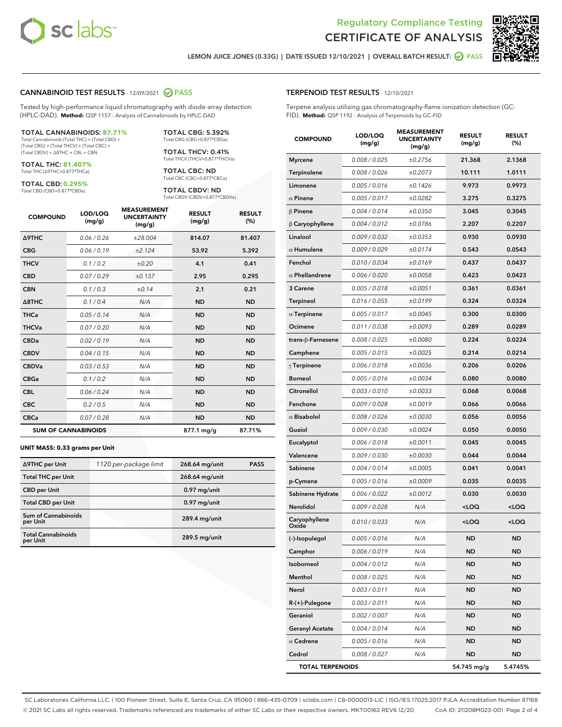



LEMON JUICE JONES (0.33G) | DATE ISSUED 12/10/2021 | OVERALL BATCH RESULT: ● PASS

## CANNABINOID TEST RESULTS - 12/09/2021 2 PASS

Tested by high-performance liquid chromatography with diode-array detection (HPLC-DAD). **Method:** QSP 1157 - Analysis of Cannabinoids by HPLC-DAD

#### TOTAL CANNABINOIDS: **87.71%**

Total Cannabinoids (Total THC) + (Total CBD) + (Total CBG) + (Total THCV) + (Total CBC) + (Total CBDV) + ∆8THC + CBL + CBN

TOTAL THC: **81.407%** Total THC (∆9THC+0.877\*THCa)

TOTAL CBD: **0.295%**

Total CBD (CBD+0.877\*CBDa)

TOTAL CBG: 5.392% Total CBG (CBG+0.877\*CBGa)

TOTAL THCV: 0.41% Total THCV (THCV+0.877\*THCVa)

TOTAL CBC: ND Total CBC (CBC+0.877\*CBCa)

TOTAL CBDV: ND Total CBDV (CBDV+0.877\*CBDVa)

| <b>COMPOUND</b>            | LOD/LOQ<br>(mg/g) | <b>MEASUREMENT</b><br><b>UNCERTAINTY</b><br>(mg/g) | <b>RESULT</b><br>(mg/g) | <b>RESULT</b><br>(%) |
|----------------------------|-------------------|----------------------------------------------------|-------------------------|----------------------|
| <b>A9THC</b>               | 0.06/0.26         | ±28.004                                            | 814.07                  | 81.407               |
| <b>CBG</b>                 | 0.06/0.19         | ±2.124                                             | 53.92                   | 5.392                |
| <b>THCV</b>                | 0.1/0.2           | ±0.20                                              | 4.1                     | 0.41                 |
| <b>CBD</b>                 | 0.07/0.29         | ±0.137                                             | 2.95                    | 0.295                |
| <b>CBN</b>                 | 0.1/0.3           | ±0.14                                              | 2.1                     | 0.21                 |
| $\triangle$ 8THC           | 0.1/0.4           | N/A                                                | <b>ND</b>               | <b>ND</b>            |
| <b>THCa</b>                | 0.05/0.14         | N/A                                                | <b>ND</b>               | <b>ND</b>            |
| <b>THCVa</b>               | 0.07/0.20         | N/A                                                | <b>ND</b>               | <b>ND</b>            |
| <b>CBDa</b>                | 0.02/0.19         | N/A                                                | <b>ND</b>               | <b>ND</b>            |
| <b>CBDV</b>                | 0.04/0.15         | N/A                                                | <b>ND</b>               | <b>ND</b>            |
| <b>CBDVa</b>               | 0.03/0.53         | N/A                                                | <b>ND</b>               | <b>ND</b>            |
| <b>CBGa</b>                | 0.1/0.2           | N/A                                                | <b>ND</b>               | <b>ND</b>            |
| <b>CBL</b>                 | 0.06 / 0.24       | N/A                                                | <b>ND</b>               | <b>ND</b>            |
| <b>CBC</b>                 | 0.2 / 0.5         | N/A                                                | <b>ND</b>               | <b>ND</b>            |
| <b>CBCa</b>                | 0.07/0.28         | N/A                                                | <b>ND</b>               | <b>ND</b>            |
| <b>SUM OF CANNABINOIDS</b> |                   |                                                    | 877.1 mg/g              | 87.71%               |

#### **UNIT MASS: 0.33 grams per Unit**

| ∆9THC per Unit                        | 1120 per-package limit | 268.64 mg/unit  | <b>PASS</b> |
|---------------------------------------|------------------------|-----------------|-------------|
| <b>Total THC per Unit</b>             |                        | 268.64 mg/unit  |             |
| <b>CBD per Unit</b>                   |                        | $0.97$ mg/unit  |             |
| <b>Total CBD per Unit</b>             |                        | $0.97$ mg/unit  |             |
| Sum of Cannabinoids<br>per Unit       |                        | 289.4 mg/unit   |             |
| <b>Total Cannabinoids</b><br>per Unit |                        | $289.5$ mg/unit |             |

# TERPENOID TEST RESULTS - 12/10/2021

Terpene analysis utilizing gas chromatography-flame ionization detection (GC-FID). **Method:** QSP 1192 - Analysis of Terpenoids by GC-FID

| <b>COMPOUND</b>         | LOD/LOQ<br>(mg/g) | <b>MEASUREMENT</b><br><b>UNCERTAINTY</b><br>(mg/g) | <b>RESULT</b><br>(mg/g)                         | <b>RESULT</b><br>(%) |
|-------------------------|-------------------|----------------------------------------------------|-------------------------------------------------|----------------------|
| <b>Myrcene</b>          | 0.008 / 0.025     | ±0.2756                                            | 21.368                                          | 2.1368               |
| Terpinolene             | 0.008 / 0.026     | ±0.2073                                            | 10.111                                          | 1.0111               |
| Limonene                | 0.005 / 0.016     | ±0.1426                                            | 9.973                                           | 0.9973               |
| $\alpha$ Pinene         | 0.005 / 0.017     | ±0.0282                                            | 3.275                                           | 0.3275               |
| $\beta$ Pinene          | 0.004 / 0.014     | ±0.0350                                            | 3.045                                           | 0.3045               |
| $\beta$ Caryophyllene   | 0.004 / 0.012     | ±0.0786                                            | 2.207                                           | 0.2207               |
| Linalool                | 0.009 / 0.032     | ±0.0353                                            | 0.930                                           | 0.0930               |
| $\alpha$ Humulene       | 0.009/0.029       | ±0.0174                                            | 0.543                                           | 0.0543               |
| Fenchol                 | 0.010 / 0.034     | ±0.0169                                            | 0.437                                           | 0.0437               |
| $\alpha$ Phellandrene   | 0.006 / 0.020     | ±0.0058                                            | 0.423                                           | 0.0423               |
| 3 Carene                | 0.005 / 0.018     | ±0.0051                                            | 0.361                                           | 0.0361               |
| Terpineol               | 0.016 / 0.055     | ±0.0199                                            | 0.324                                           | 0.0324               |
| $\alpha$ Terpinene      | 0.005 / 0.017     | ±0.0045                                            | 0.300                                           | 0.0300               |
| Ocimene                 | 0.011 / 0.038     | ±0.0093                                            | 0.289                                           | 0.0289               |
| trans-ß-Farnesene       | 0.008 / 0.025     | ±0.0080                                            | 0.224                                           | 0.0224               |
| Camphene                | 0.005 / 0.015     | ±0.0025                                            | 0.214                                           | 0.0214               |
| $\gamma$ Terpinene      | 0.006 / 0.018     | ±0.0036                                            | 0.206                                           | 0.0206               |
| <b>Borneol</b>          | 0.005 / 0.016     | ±0.0034                                            | 0.080                                           | 0.0080               |
| Citronellol             | 0.003 / 0.010     | ±0.0033                                            | 0.068                                           | 0.0068               |
| Fenchone                | 0.009 / 0.028     | ±0.0019                                            | 0.066                                           | 0.0066               |
| $\alpha$ Bisabolol      | 0.008 / 0.026     | ±0.0030                                            | 0.056                                           | 0.0056               |
| Guaiol                  | 0.009 / 0.030     | ±0.0024                                            | 0.050                                           | 0.0050               |
| Eucalyptol              | 0.006 / 0.018     | ±0.0011                                            | 0.045                                           | 0.0045               |
| Valencene               | 0.009 / 0.030     | ±0.0030                                            | 0.044                                           | 0.0044               |
| Sabinene                | 0.004 / 0.014     | ±0.0005                                            | 0.041                                           | 0.0041               |
| p-Cymene                | 0.005 / 0.016     | ±0.0009                                            | 0.035                                           | 0.0035               |
| Sabinene Hydrate        | 0.006 / 0.022     | ±0.0012                                            | 0.030                                           | 0.0030               |
| Nerolidol               | 0.009 / 0.028     | N/A                                                | <loq< th=""><th><loq< th=""></loq<></th></loq<> | <loq< th=""></loq<>  |
| Caryophyllene<br>Oxide  | 0.010 / 0.033     | N/A                                                | <loq< th=""><th><loq< th=""></loq<></th></loq<> | <loq< th=""></loq<>  |
| (-)-Isopulegol          | 0.005 / 0.016     | N/A                                                | <b>ND</b>                                       | ND.                  |
| Camphor                 | 0.006 / 0.019     | N/A                                                | ND                                              | ND                   |
| Isoborneol              | 0.004 / 0.012     | N/A                                                | <b>ND</b>                                       | <b>ND</b>            |
| Menthol                 | 0.008 / 0.025     | N/A                                                | ND                                              | ND                   |
| Nerol                   | 0.003 / 0.011     | N/A                                                | ND                                              | ND                   |
| R-(+)-Pulegone          | 0.003 / 0.011     | N/A                                                | ND                                              | ND                   |
| Geraniol                | 0.002 / 0.007     | N/A                                                | ND                                              | ND                   |
| <b>Geranyl Acetate</b>  | 0.004 / 0.014     | N/A                                                | ND                                              | ND                   |
| $\alpha$ Cedrene        | 0.005 / 0.016     | N/A                                                | ND                                              | ND                   |
| Cedrol                  | 0.008 / 0.027     | N/A                                                | ND                                              | ND                   |
| <b>TOTAL TERPENOIDS</b> |                   | 54.745 mg/g                                        | 5.4745%                                         |                      |

SC Laboratories California LLC. | 100 Pioneer Street, Suite E, Santa Cruz, CA 95060 | 866-435-0709 | sclabs.com | C8-0000013-LIC | ISO/IES 17025:2017 PJLA Accreditation Number 87168 © 2021 SC Labs all rights reserved. Trademarks referenced are trademarks of either SC Labs or their respective owners. MKT00162 REV6 12/20 CoA ID: 211208M023-001 Page 2 of 4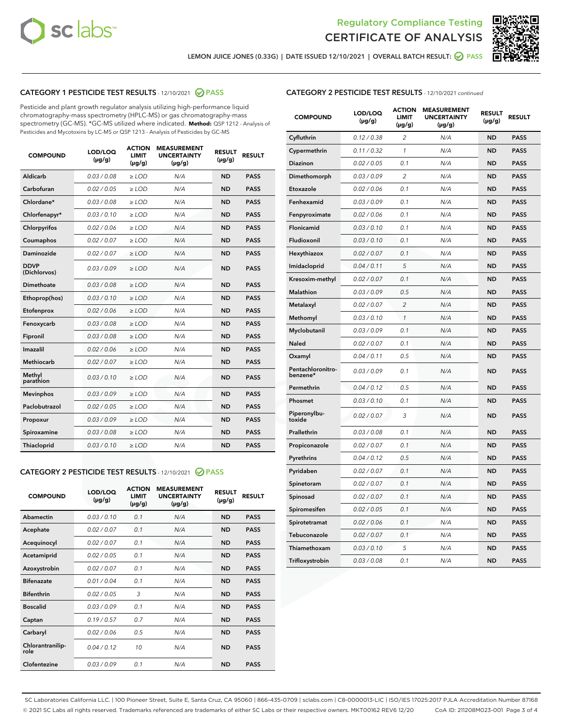



LEMON JUICE JONES (0.33G) | DATE ISSUED 12/10/2021 | OVERALL BATCH RESULT: **⊘** PASS

# CATEGORY 1 PESTICIDE TEST RESULTS - 12/10/2021 2 PASS

Pesticide and plant growth regulator analysis utilizing high-performance liquid chromatography-mass spectrometry (HPLC-MS) or gas chromatography-mass spectrometry (GC-MS). \*GC-MS utilized where indicated. **Method:** QSP 1212 - Analysis of Pesticides and Mycotoxins by LC-MS or QSP 1213 - Analysis of Pesticides by GC-MS

| 0.03 / 0.08<br><b>ND</b><br>Aldicarb<br>$\ge$ LOD<br>N/A<br><b>PASS</b><br>Carbofuran<br>0.02 / 0.05<br>N/A<br><b>ND</b><br><b>PASS</b><br>$>$ LOD<br>Chlordane*<br>0.03 / 0.08<br><b>ND</b><br><b>PASS</b><br>$>$ LOD<br>N/A<br>0.03 / 0.10<br>N/A<br><b>ND</b><br><b>PASS</b><br>Chlorfenapyr*<br>$\ge$ LOD<br>Chlorpyrifos<br>0.02 / 0.06<br>N/A<br><b>ND</b><br><b>PASS</b><br>$\ge$ LOD<br>0.02 / 0.07<br>N/A<br><b>ND</b><br><b>PASS</b><br>Coumaphos<br>$>$ LOD<br>N/A<br><b>ND</b><br><b>Daminozide</b><br>0.02 / 0.07<br>$\ge$ LOD<br><b>PASS</b><br><b>DDVP</b><br>0.03/0.09<br>$\ge$ LOD<br>N/A<br><b>ND</b><br><b>PASS</b><br>(Dichlorvos)<br>Dimethoate<br><b>ND</b><br><b>PASS</b><br>0.03 / 0.08<br>$>$ LOD<br>N/A<br>Ethoprop(hos)<br>0.03/0.10<br>$\ge$ LOD<br>N/A<br><b>ND</b><br><b>PASS</b><br>0.02 / 0.06<br>$>$ LOD<br>N/A<br><b>ND</b><br><b>PASS</b><br>Etofenprox<br>Fenoxycarb<br>0.03 / 0.08<br>$>$ LOD<br>N/A<br><b>ND</b><br><b>PASS</b><br>0.03 / 0.08<br><b>ND</b><br><b>PASS</b><br>Fipronil<br>$\ge$ LOD<br>N/A<br>Imazalil<br>0.02 / 0.06<br>$\geq$ LOD<br>N/A<br><b>ND</b><br><b>PASS</b><br>Methiocarb<br>0.02 / 0.07<br>$>$ LOD<br>N/A<br><b>ND</b><br><b>PASS</b><br>Methyl<br>0.03/0.10<br>$\geq$ LOD<br>N/A<br><b>ND</b><br><b>PASS</b><br>parathion<br>0.03/0.09<br>$\ge$ LOD<br>N/A<br><b>ND</b><br><b>PASS</b><br><b>Mevinphos</b><br>Paclobutrazol<br>0.02 / 0.05<br>$\ge$ LOD<br>N/A<br><b>ND</b><br><b>PASS</b><br>0.03/0.09<br>N/A<br><b>ND</b><br>$\ge$ LOD<br><b>PASS</b><br>Propoxur<br>0.03 / 0.08<br>N/A<br><b>ND</b><br><b>PASS</b><br>Spiroxamine<br>$\ge$ LOD<br>Thiacloprid<br>0.03/0.10<br>$\ge$ LOD<br>N/A<br><b>ND</b><br><b>PASS</b> | <b>COMPOUND</b> | LOD/LOQ<br>$(\mu g/g)$ | <b>ACTION</b><br><b>LIMIT</b><br>$(\mu g/g)$ | <b>MEASUREMENT</b><br><b>UNCERTAINTY</b><br>$(\mu g/g)$ | <b>RESULT</b><br>$(\mu g/g)$ | <b>RESULT</b> |
|--------------------------------------------------------------------------------------------------------------------------------------------------------------------------------------------------------------------------------------------------------------------------------------------------------------------------------------------------------------------------------------------------------------------------------------------------------------------------------------------------------------------------------------------------------------------------------------------------------------------------------------------------------------------------------------------------------------------------------------------------------------------------------------------------------------------------------------------------------------------------------------------------------------------------------------------------------------------------------------------------------------------------------------------------------------------------------------------------------------------------------------------------------------------------------------------------------------------------------------------------------------------------------------------------------------------------------------------------------------------------------------------------------------------------------------------------------------------------------------------------------------------------------------------------------------------------------------------------------------------------------------------------------------------------------------------------|-----------------|------------------------|----------------------------------------------|---------------------------------------------------------|------------------------------|---------------|
|                                                                                                                                                                                                                                                                                                                                                                                                                                                                                                                                                                                                                                                                                                                                                                                                                                                                                                                                                                                                                                                                                                                                                                                                                                                                                                                                                                                                                                                                                                                                                                                                                                                                                                  |                 |                        |                                              |                                                         |                              |               |
|                                                                                                                                                                                                                                                                                                                                                                                                                                                                                                                                                                                                                                                                                                                                                                                                                                                                                                                                                                                                                                                                                                                                                                                                                                                                                                                                                                                                                                                                                                                                                                                                                                                                                                  |                 |                        |                                              |                                                         |                              |               |
|                                                                                                                                                                                                                                                                                                                                                                                                                                                                                                                                                                                                                                                                                                                                                                                                                                                                                                                                                                                                                                                                                                                                                                                                                                                                                                                                                                                                                                                                                                                                                                                                                                                                                                  |                 |                        |                                              |                                                         |                              |               |
|                                                                                                                                                                                                                                                                                                                                                                                                                                                                                                                                                                                                                                                                                                                                                                                                                                                                                                                                                                                                                                                                                                                                                                                                                                                                                                                                                                                                                                                                                                                                                                                                                                                                                                  |                 |                        |                                              |                                                         |                              |               |
|                                                                                                                                                                                                                                                                                                                                                                                                                                                                                                                                                                                                                                                                                                                                                                                                                                                                                                                                                                                                                                                                                                                                                                                                                                                                                                                                                                                                                                                                                                                                                                                                                                                                                                  |                 |                        |                                              |                                                         |                              |               |
|                                                                                                                                                                                                                                                                                                                                                                                                                                                                                                                                                                                                                                                                                                                                                                                                                                                                                                                                                                                                                                                                                                                                                                                                                                                                                                                                                                                                                                                                                                                                                                                                                                                                                                  |                 |                        |                                              |                                                         |                              |               |
|                                                                                                                                                                                                                                                                                                                                                                                                                                                                                                                                                                                                                                                                                                                                                                                                                                                                                                                                                                                                                                                                                                                                                                                                                                                                                                                                                                                                                                                                                                                                                                                                                                                                                                  |                 |                        |                                              |                                                         |                              |               |
|                                                                                                                                                                                                                                                                                                                                                                                                                                                                                                                                                                                                                                                                                                                                                                                                                                                                                                                                                                                                                                                                                                                                                                                                                                                                                                                                                                                                                                                                                                                                                                                                                                                                                                  |                 |                        |                                              |                                                         |                              |               |
|                                                                                                                                                                                                                                                                                                                                                                                                                                                                                                                                                                                                                                                                                                                                                                                                                                                                                                                                                                                                                                                                                                                                                                                                                                                                                                                                                                                                                                                                                                                                                                                                                                                                                                  |                 |                        |                                              |                                                         |                              |               |
|                                                                                                                                                                                                                                                                                                                                                                                                                                                                                                                                                                                                                                                                                                                                                                                                                                                                                                                                                                                                                                                                                                                                                                                                                                                                                                                                                                                                                                                                                                                                                                                                                                                                                                  |                 |                        |                                              |                                                         |                              |               |
|                                                                                                                                                                                                                                                                                                                                                                                                                                                                                                                                                                                                                                                                                                                                                                                                                                                                                                                                                                                                                                                                                                                                                                                                                                                                                                                                                                                                                                                                                                                                                                                                                                                                                                  |                 |                        |                                              |                                                         |                              |               |
|                                                                                                                                                                                                                                                                                                                                                                                                                                                                                                                                                                                                                                                                                                                                                                                                                                                                                                                                                                                                                                                                                                                                                                                                                                                                                                                                                                                                                                                                                                                                                                                                                                                                                                  |                 |                        |                                              |                                                         |                              |               |
|                                                                                                                                                                                                                                                                                                                                                                                                                                                                                                                                                                                                                                                                                                                                                                                                                                                                                                                                                                                                                                                                                                                                                                                                                                                                                                                                                                                                                                                                                                                                                                                                                                                                                                  |                 |                        |                                              |                                                         |                              |               |
|                                                                                                                                                                                                                                                                                                                                                                                                                                                                                                                                                                                                                                                                                                                                                                                                                                                                                                                                                                                                                                                                                                                                                                                                                                                                                                                                                                                                                                                                                                                                                                                                                                                                                                  |                 |                        |                                              |                                                         |                              |               |
|                                                                                                                                                                                                                                                                                                                                                                                                                                                                                                                                                                                                                                                                                                                                                                                                                                                                                                                                                                                                                                                                                                                                                                                                                                                                                                                                                                                                                                                                                                                                                                                                                                                                                                  |                 |                        |                                              |                                                         |                              |               |
|                                                                                                                                                                                                                                                                                                                                                                                                                                                                                                                                                                                                                                                                                                                                                                                                                                                                                                                                                                                                                                                                                                                                                                                                                                                                                                                                                                                                                                                                                                                                                                                                                                                                                                  |                 |                        |                                              |                                                         |                              |               |
|                                                                                                                                                                                                                                                                                                                                                                                                                                                                                                                                                                                                                                                                                                                                                                                                                                                                                                                                                                                                                                                                                                                                                                                                                                                                                                                                                                                                                                                                                                                                                                                                                                                                                                  |                 |                        |                                              |                                                         |                              |               |
|                                                                                                                                                                                                                                                                                                                                                                                                                                                                                                                                                                                                                                                                                                                                                                                                                                                                                                                                                                                                                                                                                                                                                                                                                                                                                                                                                                                                                                                                                                                                                                                                                                                                                                  |                 |                        |                                              |                                                         |                              |               |
|                                                                                                                                                                                                                                                                                                                                                                                                                                                                                                                                                                                                                                                                                                                                                                                                                                                                                                                                                                                                                                                                                                                                                                                                                                                                                                                                                                                                                                                                                                                                                                                                                                                                                                  |                 |                        |                                              |                                                         |                              |               |
|                                                                                                                                                                                                                                                                                                                                                                                                                                                                                                                                                                                                                                                                                                                                                                                                                                                                                                                                                                                                                                                                                                                                                                                                                                                                                                                                                                                                                                                                                                                                                                                                                                                                                                  |                 |                        |                                              |                                                         |                              |               |
|                                                                                                                                                                                                                                                                                                                                                                                                                                                                                                                                                                                                                                                                                                                                                                                                                                                                                                                                                                                                                                                                                                                                                                                                                                                                                                                                                                                                                                                                                                                                                                                                                                                                                                  |                 |                        |                                              |                                                         |                              |               |

# CATEGORY 2 PESTICIDE TEST RESULTS - 12/10/2021 @ PASS

| <b>COMPOUND</b>          | LOD/LOQ<br>$(\mu g/g)$ | <b>ACTION</b><br><b>LIMIT</b><br>$(\mu g/g)$ | <b>MEASUREMENT</b><br><b>UNCERTAINTY</b><br>$(\mu g/g)$ | <b>RESULT</b><br>$(\mu g/g)$ | <b>RESULT</b> |
|--------------------------|------------------------|----------------------------------------------|---------------------------------------------------------|------------------------------|---------------|
| Abamectin                | 0.03/0.10              | 0.1                                          | N/A                                                     | <b>ND</b>                    | <b>PASS</b>   |
| Acephate                 | 0.02/0.07              | 0.1                                          | N/A                                                     | <b>ND</b>                    | <b>PASS</b>   |
| Acequinocyl              | 0.02/0.07              | 0.1                                          | N/A                                                     | <b>ND</b>                    | <b>PASS</b>   |
| Acetamiprid              | 0.02/0.05              | 0.1                                          | N/A                                                     | <b>ND</b>                    | <b>PASS</b>   |
| Azoxystrobin             | 0.02/0.07              | 0.1                                          | N/A                                                     | <b>ND</b>                    | <b>PASS</b>   |
| <b>Bifenazate</b>        | 0.01/0.04              | 0.1                                          | N/A                                                     | <b>ND</b>                    | <b>PASS</b>   |
| <b>Bifenthrin</b>        | 0.02 / 0.05            | 3                                            | N/A                                                     | <b>ND</b>                    | <b>PASS</b>   |
| <b>Boscalid</b>          | 0.03/0.09              | 0.1                                          | N/A                                                     | <b>ND</b>                    | <b>PASS</b>   |
| Captan                   | 0.19/0.57              | 0.7                                          | N/A                                                     | <b>ND</b>                    | <b>PASS</b>   |
| Carbaryl                 | 0.02/0.06              | 0.5                                          | N/A                                                     | <b>ND</b>                    | <b>PASS</b>   |
| Chlorantranilip-<br>role | 0.04/0.12              | 10                                           | N/A                                                     | <b>ND</b>                    | <b>PASS</b>   |
| Clofentezine             | 0.03/0.09              | 0.1                                          | N/A                                                     | <b>ND</b>                    | <b>PASS</b>   |

| <b>COMPOUND</b>               | LOD/LOQ<br>(µg/g) | <b>ACTION</b><br>LIMIT<br>(µg/g) | <b>MEASUREMENT</b><br><b>UNCERTAINTY</b><br>$(\mu g/g)$ | <b>RESULT</b><br>(µg/g) | <b>RESULT</b> |
|-------------------------------|-------------------|----------------------------------|---------------------------------------------------------|-------------------------|---------------|
| Cyfluthrin                    | 0.12 / 0.38       | $\overline{c}$                   | N/A                                                     | <b>ND</b>               | <b>PASS</b>   |
| Cypermethrin                  | 0.11/0.32         | 1                                | N/A                                                     | <b>ND</b>               | <b>PASS</b>   |
| <b>Diazinon</b>               | 0.02 / 0.05       | 0.1                              | N/A                                                     | <b>ND</b>               | <b>PASS</b>   |
| Dimethomorph                  | 0.03 / 0.09       | 2                                | N/A                                                     | ND                      | <b>PASS</b>   |
| Etoxazole                     | 0.02 / 0.06       | 0.1                              | N/A                                                     | ND                      | <b>PASS</b>   |
| Fenhexamid                    | 0.03 / 0.09       | 0.1                              | N/A                                                     | <b>ND</b>               | <b>PASS</b>   |
| Fenpyroximate                 | 0.02 / 0.06       | 0.1                              | N/A                                                     | <b>ND</b>               | <b>PASS</b>   |
| Flonicamid                    | 0.03/0.10         | 0.1                              | N/A                                                     | <b>ND</b>               | <b>PASS</b>   |
| Fludioxonil                   | 0.03/0.10         | 0.1                              | N/A                                                     | <b>ND</b>               | <b>PASS</b>   |
| Hexythiazox                   | 0.02 / 0.07       | 0.1                              | N/A                                                     | <b>ND</b>               | <b>PASS</b>   |
| Imidacloprid                  | 0.04 / 0.11       | 5                                | N/A                                                     | <b>ND</b>               | <b>PASS</b>   |
| Kresoxim-methyl               | 0.02 / 0.07       | 0.1                              | N/A                                                     | ND                      | <b>PASS</b>   |
| <b>Malathion</b>              | 0.03 / 0.09       | 0.5                              | N/A                                                     | <b>ND</b>               | <b>PASS</b>   |
| Metalaxyl                     | 0.02 / 0.07       | $\overline{c}$                   | N/A                                                     | ND                      | <b>PASS</b>   |
| Methomyl                      | 0.03 / 0.10       | 1                                | N/A                                                     | <b>ND</b>               | <b>PASS</b>   |
| Myclobutanil                  | 0.03 / 0.09       | 0.1                              | N/A                                                     | <b>ND</b>               | <b>PASS</b>   |
| Naled                         | 0.02 / 0.07       | 0.1                              | N/A                                                     | <b>ND</b>               | <b>PASS</b>   |
| Oxamyl                        | 0.04 / 0.11       | 0.5                              | N/A                                                     | ND                      | <b>PASS</b>   |
| Pentachloronitro-<br>benzene* | 0.03 / 0.09       | 0.1                              | N/A                                                     | ND                      | <b>PASS</b>   |
| Permethrin                    | 0.04 / 0.12       | 0.5                              | N/A                                                     | <b>ND</b>               | <b>PASS</b>   |
| Phosmet                       | 0.03 / 0.10       | 0.1                              | N/A                                                     | <b>ND</b>               | <b>PASS</b>   |
| Piperonylbu-<br>toxide        | 0.02 / 0.07       | 3                                | N/A                                                     | <b>ND</b>               | <b>PASS</b>   |
| Prallethrin                   | 0.03 / 0.08       | 0.1                              | N/A                                                     | <b>ND</b>               | <b>PASS</b>   |
| Propiconazole                 | 0.02 / 0.07       | 0.1                              | N/A                                                     | <b>ND</b>               | <b>PASS</b>   |
| Pyrethrins                    | 0.04 / 0.12       | 0.5                              | N/A                                                     | <b>ND</b>               | <b>PASS</b>   |
| Pyridaben                     | 0.02 / 0.07       | 0.1                              | N/A                                                     | ND                      | <b>PASS</b>   |
| Spinetoram                    | 0.02 / 0.07       | 0.1                              | N/A                                                     | <b>ND</b>               | <b>PASS</b>   |
| Spinosad                      | 0.02 / 0.07       | 0.1                              | N/A                                                     | <b>ND</b>               | <b>PASS</b>   |
| Spiromesifen                  | 0.02 / 0.05       | 0.1                              | N/A                                                     | ND                      | PASS          |
| Spirotetramat                 | 0.02 / 0.06       | 0.1                              | N/A                                                     | <b>ND</b>               | <b>PASS</b>   |
| Tebuconazole                  | 0.02 / 0.07       | 0.1                              | N/A                                                     | <b>ND</b>               | <b>PASS</b>   |
| Thiamethoxam                  | 0.03 / 0.10       | 5                                | N/A                                                     | ND                      | <b>PASS</b>   |
| Trifloxystrobin               | 0.03 / 0.08       | 0.1                              | N/A                                                     | ND                      | <b>PASS</b>   |

SC Laboratories California LLC. | 100 Pioneer Street, Suite E, Santa Cruz, CA 95060 | 866-435-0709 | sclabs.com | C8-0000013-LIC | ISO/IES 17025:2017 PJLA Accreditation Number 87168 © 2021 SC Labs all rights reserved. Trademarks referenced are trademarks of either SC Labs or their respective owners. MKT00162 REV6 12/20 CoA ID: 211208M023-001 Page 3 of 4